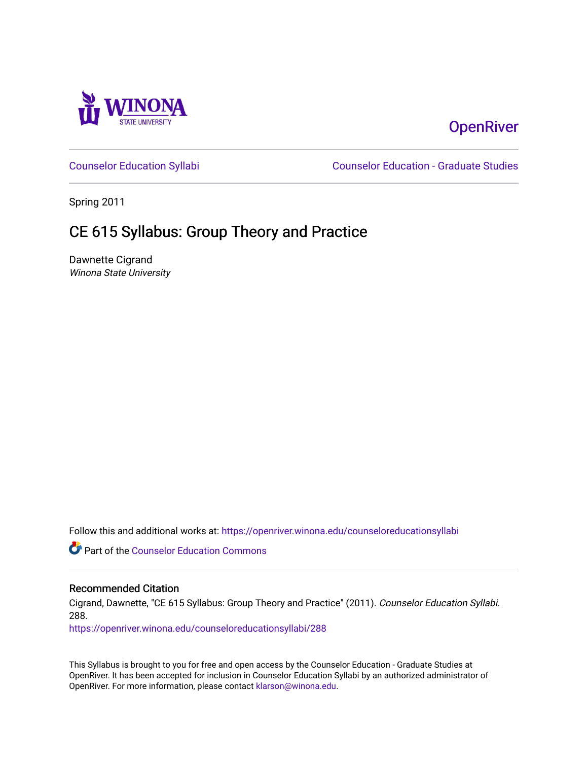

# **OpenRiver**

[Counselor Education Syllabi](https://openriver.winona.edu/counseloreducationsyllabi) [Counselor Education - Graduate Studies](https://openriver.winona.edu/counseloreducation) 

Spring 2011

# CE 615 Syllabus: Group Theory and Practice

Dawnette Cigrand Winona State University

Follow this and additional works at: [https://openriver.winona.edu/counseloreducationsyllabi](https://openriver.winona.edu/counseloreducationsyllabi?utm_source=openriver.winona.edu%2Fcounseloreducationsyllabi%2F288&utm_medium=PDF&utm_campaign=PDFCoverPages)

Part of the [Counselor Education Commons](http://network.bepress.com/hgg/discipline/1278?utm_source=openriver.winona.edu%2Fcounseloreducationsyllabi%2F288&utm_medium=PDF&utm_campaign=PDFCoverPages) 

## Recommended Citation

Cigrand, Dawnette, "CE 615 Syllabus: Group Theory and Practice" (2011). Counselor Education Syllabi. 288.

[https://openriver.winona.edu/counseloreducationsyllabi/288](https://openriver.winona.edu/counseloreducationsyllabi/288?utm_source=openriver.winona.edu%2Fcounseloreducationsyllabi%2F288&utm_medium=PDF&utm_campaign=PDFCoverPages)

This Syllabus is brought to you for free and open access by the Counselor Education - Graduate Studies at OpenRiver. It has been accepted for inclusion in Counselor Education Syllabi by an authorized administrator of OpenRiver. For more information, please contact [klarson@winona.edu](mailto:klarson@winona.edu).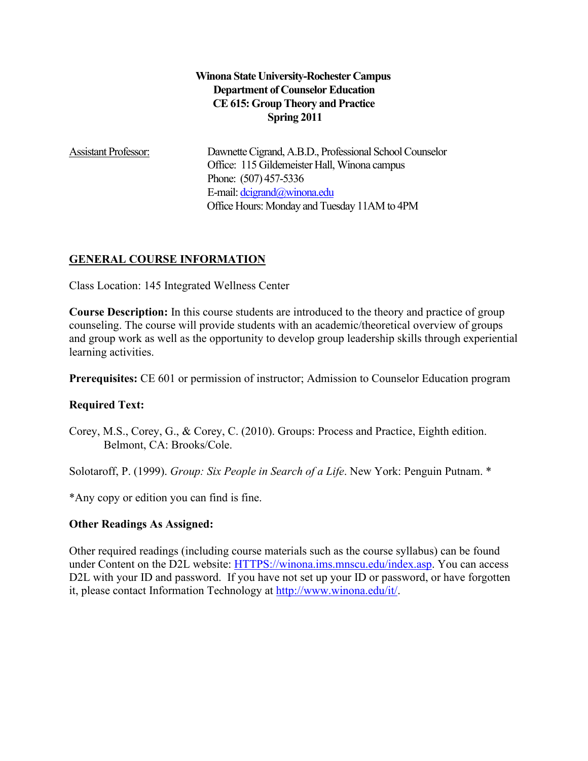## **Winona State University-Rochester Campus Department of Counselor Education CE 615: Group Theory and Practice Spring 2011**

Assistant Professor: Dawnette Cigrand, A.B.D., Professional School Counselor Office: 115 Gildemeister Hall, Winona campus Phone: (507) 457-5336 E-mail[: dcigrand@winona.edu](mailto:dcigrand@winona.edu) Office Hours: Monday and Tuesday 11AM to 4PM

## **GENERAL COURSE INFORMATION**

Class Location: 145 Integrated Wellness Center

**Course Description:** In this course students are introduced to the theory and practice of group counseling. The course will provide students with an academic/theoretical overview of groups and group work as well as the opportunity to develop group leadership skills through experiential learning activities.

**Prerequisites:** CE 601 or permission of instructor; Admission to Counselor Education program

## **Required Text:**

Corey, M.S., Corey, G., & Corey, C. (2010). Groups: Process and Practice, Eighth edition. Belmont, CA: Brooks/Cole.

Solotaroff, P. (1999). *Group: Six People in Search of a Life*. New York: Penguin Putnam. \*

\*Any copy or edition you can find is fine.

## **Other Readings As Assigned:**

Other required readings (including course materials such as the course syllabus) can be found under Content on the D2L website: [HTTPS://winona.ims.mnscu.edu/index.asp.](https://winona.ims.mnscu.edu/index.asp) You can access D2L with your ID and password. If you have not set up your ID or password, or have forgotten it, please contact Information Technology at [http://www.winona.edu/it/.](http://www.winona.edu/it/)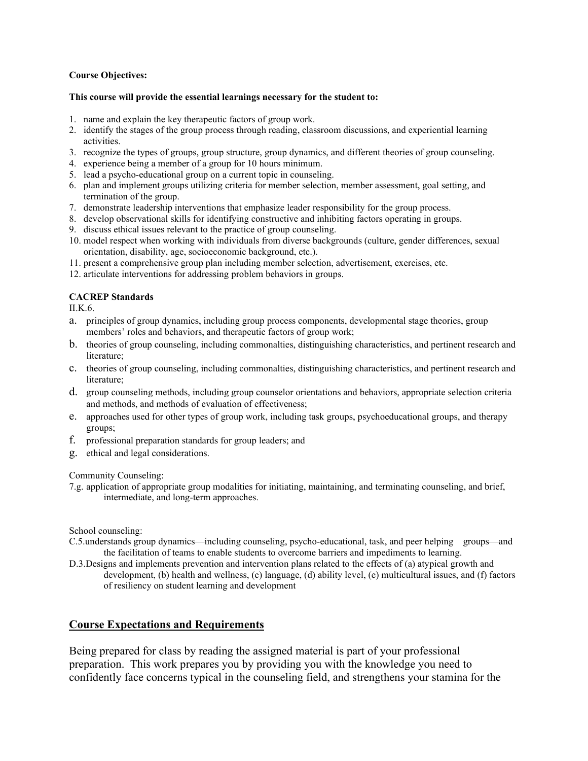### **Course Objectives:**

#### **This course will provide the essential learnings necessary for the student to:**

- 1. name and explain the key therapeutic factors of group work.
- 2. identify the stages of the group process through reading, classroom discussions, and experiential learning activities.
- 3. recognize the types of groups, group structure, group dynamics, and different theories of group counseling.
- 4. experience being a member of a group for 10 hours minimum.
- 5. lead a psycho-educational group on a current topic in counseling.
- 6. plan and implement groups utilizing criteria for member selection, member assessment, goal setting, and termination of the group.
- 7. demonstrate leadership interventions that emphasize leader responsibility for the group process.
- 8. develop observational skills for identifying constructive and inhibiting factors operating in groups.
- 9. discuss ethical issues relevant to the practice of group counseling.
- 10. model respect when working with individuals from diverse backgrounds (culture, gender differences, sexual orientation, disability, age, socioeconomic background, etc.).
- 11. present a comprehensive group plan including member selection, advertisement, exercises, etc.
- 12. articulate interventions for addressing problem behaviors in groups.

### **CACREP Standards**

II.K.6.

- a. principles of group dynamics, including group process components, developmental stage theories, group members' roles and behaviors, and therapeutic factors of group work;
- b. theories of group counseling, including commonalties, distinguishing characteristics, and pertinent research and literature;
- c. theories of group counseling, including commonalties, distinguishing characteristics, and pertinent research and literature;
- d. group counseling methods, including group counselor orientations and behaviors, appropriate selection criteria and methods, and methods of evaluation of effectiveness;
- e. approaches used for other types of group work, including task groups, psychoeducational groups, and therapy groups;
- f. professional preparation standards for group leaders; and
- g. ethical and legal considerations.

Community Counseling:

7.g. application of appropriate group modalities for initiating, maintaining, and terminating counseling, and brief, intermediate, and long-term approaches.

School counseling:

- C.5.understands group dynamics—including counseling, psycho-educational, task, and peer helping groups—and the facilitation of teams to enable students to overcome barriers and impediments to learning.
- D.3.Designs and implements prevention and intervention plans related to the effects of (a) atypical growth and development, (b) health and wellness, (c) language, (d) ability level, (e) multicultural issues, and (f) factors of resiliency on student learning and development

## **Course Expectations and Requirements**

Being prepared for class by reading the assigned material is part of your professional preparation. This work prepares you by providing you with the knowledge you need to confidently face concerns typical in the counseling field, and strengthens your stamina for the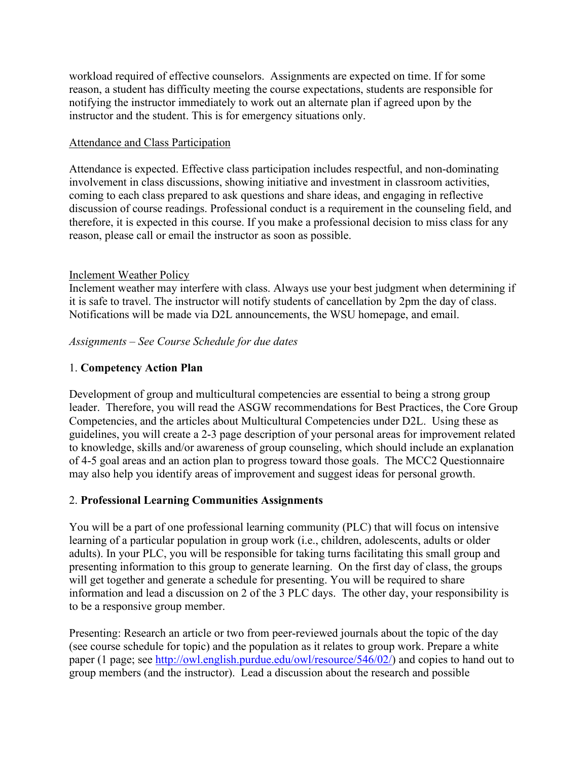workload required of effective counselors. Assignments are expected on time. If for some reason, a student has difficulty meeting the course expectations, students are responsible for notifying the instructor immediately to work out an alternate plan if agreed upon by the instructor and the student. This is for emergency situations only.

## Attendance and Class Participation

Attendance is expected. Effective class participation includes respectful, and non-dominating involvement in class discussions, showing initiative and investment in classroom activities, coming to each class prepared to ask questions and share ideas, and engaging in reflective discussion of course readings. Professional conduct is a requirement in the counseling field, and therefore, it is expected in this course. If you make a professional decision to miss class for any reason, please call or email the instructor as soon as possible.

## Inclement Weather Policy

Inclement weather may interfere with class. Always use your best judgment when determining if it is safe to travel. The instructor will notify students of cancellation by 2pm the day of class. Notifications will be made via D2L announcements, the WSU homepage, and email.

## *Assignments – See Course Schedule for due dates*

## 1. **Competency Action Plan**

Development of group and multicultural competencies are essential to being a strong group leader. Therefore, you will read the ASGW recommendations for Best Practices, the Core Group Competencies, and the articles about Multicultural Competencies under D2L. Using these as guidelines, you will create a 2-3 page description of your personal areas for improvement related to knowledge, skills and/or awareness of group counseling, which should include an explanation of 4-5 goal areas and an action plan to progress toward those goals. The MCC2 Questionnaire may also help you identify areas of improvement and suggest ideas for personal growth.

## 2. **Professional Learning Communities Assignments**

You will be a part of one professional learning community (PLC) that will focus on intensive learning of a particular population in group work (i.e., children, adolescents, adults or older adults). In your PLC, you will be responsible for taking turns facilitating this small group and presenting information to this group to generate learning. On the first day of class, the groups will get together and generate a schedule for presenting. You will be required to share information and lead a discussion on 2 of the 3 PLC days. The other day, your responsibility is to be a responsive group member.

Presenting: Research an article or two from peer-reviewed journals about the topic of the day (see course schedule for topic) and the population as it relates to group work. Prepare a white paper (1 page; see [http://owl.english.purdue.edu/owl/resource/546/02/\)](http://owl.english.purdue.edu/owl/resource/546/02/) and copies to hand out to group members (and the instructor). Lead a discussion about the research and possible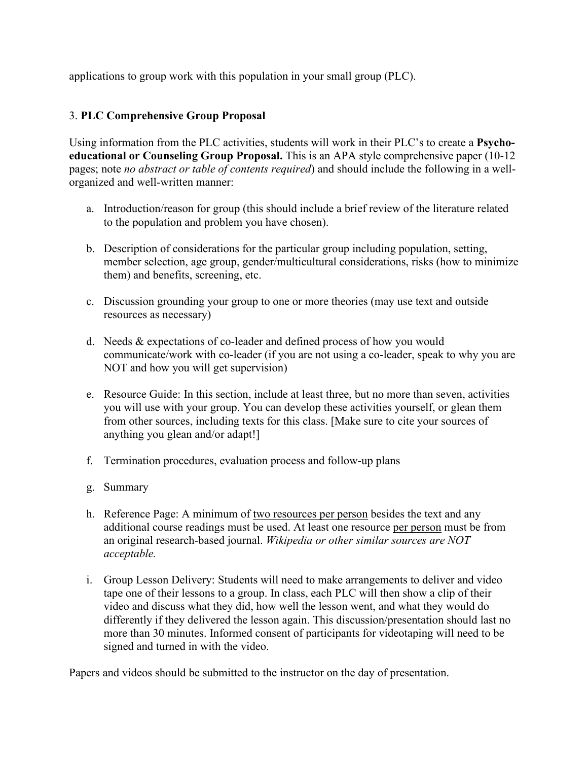applications to group work with this population in your small group (PLC).

## 3. **PLC Comprehensive Group Proposal**

Using information from the PLC activities, students will work in their PLC's to create a **Psychoeducational or Counseling Group Proposal.** This is an APA style comprehensive paper (10-12 pages; note *no abstract or table of contents required*) and should include the following in a wellorganized and well-written manner:

- a. Introduction/reason for group (this should include a brief review of the literature related to the population and problem you have chosen).
- b. Description of considerations for the particular group including population, setting, member selection, age group, gender/multicultural considerations, risks (how to minimize them) and benefits, screening, etc.
- c. Discussion grounding your group to one or more theories (may use text and outside resources as necessary)
- d. Needs & expectations of co-leader and defined process of how you would communicate/work with co-leader (if you are not using a co-leader, speak to why you are NOT and how you will get supervision)
- e. Resource Guide: In this section, include at least three, but no more than seven, activities you will use with your group. You can develop these activities yourself, or glean them from other sources, including texts for this class. [Make sure to cite your sources of anything you glean and/or adapt!]
- f. Termination procedures, evaluation process and follow-up plans
- g. Summary
- h. Reference Page: A minimum of two resources per person besides the text and any additional course readings must be used. At least one resource per person must be from an original research-based journal. *Wikipedia or other similar sources are NOT acceptable.*
- i. Group Lesson Delivery: Students will need to make arrangements to deliver and video tape one of their lessons to a group. In class, each PLC will then show a clip of their video and discuss what they did, how well the lesson went, and what they would do differently if they delivered the lesson again. This discussion/presentation should last no more than 30 minutes. Informed consent of participants for videotaping will need to be signed and turned in with the video.

Papers and videos should be submitted to the instructor on the day of presentation.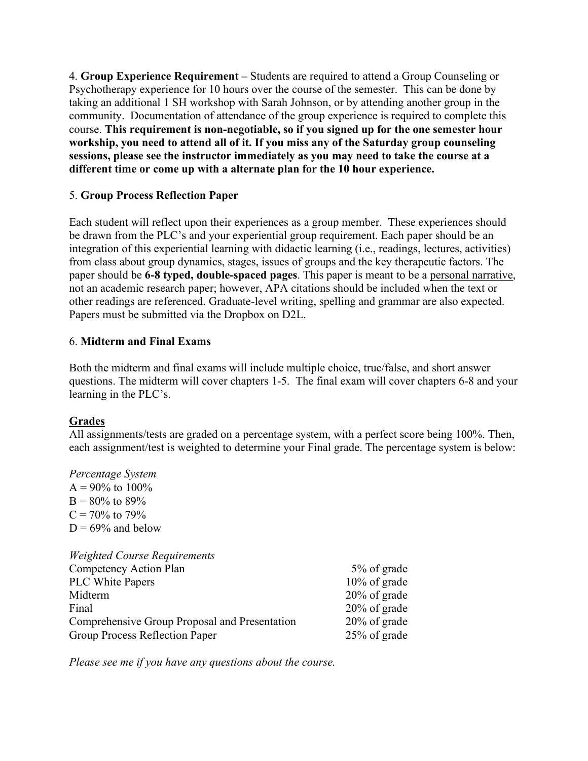4. **Group Experience Requirement –** Students are required to attend a Group Counseling or Psychotherapy experience for 10 hours over the course of the semester. This can be done by taking an additional 1 SH workshop with Sarah Johnson, or by attending another group in the community. Documentation of attendance of the group experience is required to complete this course. **This requirement is non-negotiable, so if you signed up for the one semester hour workship, you need to attend all of it. If you miss any of the Saturday group counseling sessions, please see the instructor immediately as you may need to take the course at a different time or come up with a alternate plan for the 10 hour experience.** 

## 5. **Group Process Reflection Paper**

Each student will reflect upon their experiences as a group member. These experiences should be drawn from the PLC's and your experiential group requirement. Each paper should be an integration of this experiential learning with didactic learning (i.e., readings, lectures, activities) from class about group dynamics, stages, issues of groups and the key therapeutic factors. The paper should be **6-8 typed, double-spaced pages**. This paper is meant to be a personal narrative, not an academic research paper; however, APA citations should be included when the text or other readings are referenced. Graduate-level writing, spelling and grammar are also expected. Papers must be submitted via the Dropbox on D2L.

## 6. **Midterm and Final Exams**

Both the midterm and final exams will include multiple choice, true/false, and short answer questions. The midterm will cover chapters 1-5. The final exam will cover chapters 6-8 and your learning in the PLC's.

# **Grades**

All assignments/tests are graded on a percentage system, with a perfect score being 100%. Then, each assignment/test is weighted to determine your Final grade. The percentage system is below:

*Percentage System*  $A = 90\%$  to  $100\%$  $B = 80\%$  to 89%  $C = 70\%$  to 79%  $D = 69\%$  and below

| <b>Weighted Course Requirements</b>           |                 |
|-----------------------------------------------|-----------------|
| Competency Action Plan                        | 5% of grade     |
| PLC White Papers                              | 10% of grade    |
| Midterm                                       | $20\%$ of grade |
| Final                                         | $20\%$ of grade |
| Comprehensive Group Proposal and Presentation | $20\%$ of grade |
| Group Process Reflection Paper                | 25% of grade    |

*Please see me if you have any questions about the course.*